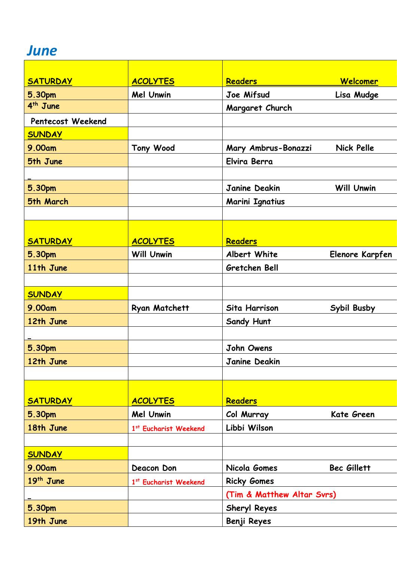## *June*

| <b>SATURDAY</b>      | <b>ACOLYTES</b>       | <b>Readers</b>             | Welcomer           |
|----------------------|-----------------------|----------------------------|--------------------|
| 5.30pm               | <b>Mel Unwin</b>      | Joe Mifsud                 | Lisa Mudge         |
| 4 <sup>th</sup> June |                       | Margaret Church            |                    |
| Pentecost Weekend    |                       |                            |                    |
| <b>SUNDAY</b>        |                       |                            |                    |
| 9.00am               | <b>Tony Wood</b>      | Mary Ambrus-Bonazzi        | <b>Nick Pelle</b>  |
| 5th June             |                       | Elvira Berra               |                    |
|                      |                       |                            |                    |
| 5.30pm               |                       | Janine Deakin              | <b>Will Unwin</b>  |
| 5th March            |                       | Marini Ignatius            |                    |
|                      |                       |                            |                    |
|                      |                       |                            |                    |
| <b>SATURDAY</b>      | <b>ACOLYTES</b>       | <b>Readers</b>             |                    |
| 5.30pm               | <b>Will Unwin</b>     | Albert White               | Elenore Karpfen    |
| 11th June            |                       | Gretchen Bell              |                    |
|                      |                       |                            |                    |
| <b>SUNDAY</b>        |                       |                            |                    |
| 9.00am               | <b>Ryan Matchett</b>  | Sita Harrison              | Sybil Busby        |
| 12th June            |                       | <b>Sandy Hunt</b>          |                    |
|                      |                       |                            |                    |
| 5.30pm               |                       | John Owens                 |                    |
| 12th June            |                       | Janine Deakin              |                    |
|                      |                       |                            |                    |
|                      |                       |                            |                    |
| <b>SATURDAY</b>      | <b>ACOLYTES</b>       | <b>Readers</b>             |                    |
| 5.30pm               | <b>Mel Unwin</b>      | Col Murray                 | Kate Green         |
| 18th June            | 1st Eucharist Weekend | Libbi Wilson               |                    |
|                      |                       |                            |                    |
| <b>SUNDAY</b>        |                       |                            |                    |
| 9.00am               | Deacon Don            | Nicola Gomes               | <b>Bec Gillett</b> |
| 19th June            | 1st Eucharist Weekend | <b>Ricky Gomes</b>         |                    |
|                      |                       | (Tim & Matthew Altar Svrs) |                    |
| 5.30pm               |                       | <b>Sheryl Reyes</b>        |                    |
| 19th June            |                       | Benji Reyes                |                    |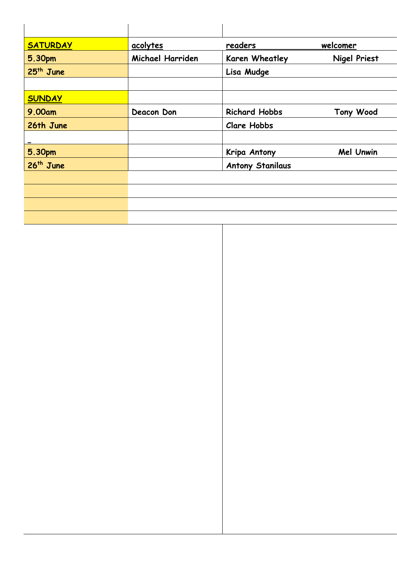| <b>SATURDAY</b>       | acolytes         | readers                 | welcomer            |
|-----------------------|------------------|-------------------------|---------------------|
| 5.30pm                | Michael Harriden | Karen Wheatley          | <b>Nigel Priest</b> |
| 25 <sup>th</sup> June |                  | Lisa Mudge              |                     |
|                       |                  |                         |                     |
| <b>SUNDAY</b>         |                  |                         |                     |
| 9.00am                | Deacon Don       | <b>Richard Hobbs</b>    | <b>Tony Wood</b>    |
| 26th June             |                  | <b>Clare Hobbs</b>      |                     |
|                       |                  |                         |                     |
| 5.30pm                |                  | Kripa Antony            | <b>Mel Unwin</b>    |
| 26 <sup>th</sup> June |                  | <b>Antony Stanilaus</b> |                     |
|                       |                  |                         |                     |
|                       |                  |                         |                     |
|                       |                  |                         |                     |
|                       |                  |                         |                     |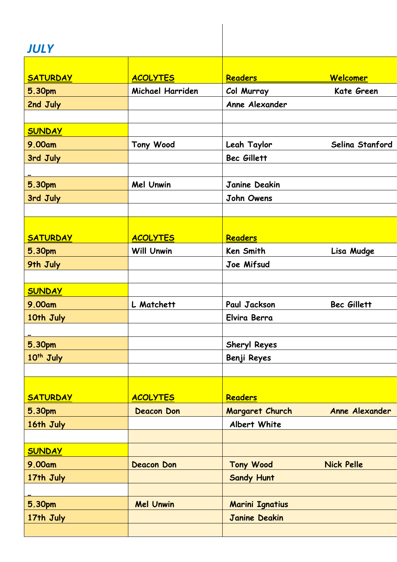## *JULY*

| J U L I               |                   |                        |                    |
|-----------------------|-------------------|------------------------|--------------------|
|                       |                   |                        |                    |
| <b>SATURDAY</b>       | <b>ACOLYTES</b>   | Readers                | Welcomer           |
| <b>5.30pm</b>         | Michael Harriden  | Col Murray             | Kate Green         |
| 2nd July              |                   | Anne Alexander         |                    |
|                       |                   |                        |                    |
| <b>SUNDAY</b>         |                   |                        |                    |
| 9.00am                | <b>Tony Wood</b>  | Leah Taylor            | Selina Stanford    |
| 3rd July              |                   | Bec Gillett            |                    |
|                       |                   |                        |                    |
| 5.30pm                | <b>Mel Unwin</b>  | Janine Deakin          |                    |
| 3rd July              |                   | John Owens             |                    |
|                       |                   |                        |                    |
|                       |                   |                        |                    |
| <b>SATURDAY</b>       | <b>ACOLYTES</b>   | Readers                |                    |
| 5.30pm                | <b>Will Unwin</b> | Ken Smith              | Lisa Mudge         |
| 9th July              |                   | Joe Mifsud             |                    |
|                       |                   |                        |                    |
| <b>SUNDAY</b>         |                   |                        |                    |
| 9.00am                | L Matchett        | Paul Jackson           | <b>Bec Gillett</b> |
| 10th July             |                   | Elvira Berra           |                    |
|                       |                   |                        |                    |
| 5.30pm                |                   | <b>Sheryl Reyes</b>    |                    |
| 10 <sup>th</sup> July |                   | Benji Reyes            |                    |
|                       |                   |                        |                    |
|                       |                   |                        |                    |
| <b>SATURDAY</b>       | <b>ACOLYTES</b>   | <b>Readers</b>         |                    |
| 5.30pm                | <b>Deacon Don</b> | Margaret Church        | Anne Alexander     |
| 16th July             |                   | Albert White           |                    |
|                       |                   |                        |                    |
| <b>SUNDAY</b>         |                   |                        |                    |
| 9.00am                | <b>Deacon Don</b> | <b>Tony Wood</b>       | <b>Nick Pelle</b>  |
| 17th July             |                   | <b>Sandy Hunt</b>      |                    |
|                       |                   |                        |                    |
| <b>5.30pm</b>         | <b>Mel Unwin</b>  | <b>Marini Ignatius</b> |                    |
| 17th July             |                   | <b>Janine Deakin</b>   |                    |
|                       |                   |                        |                    |
|                       |                   |                        |                    |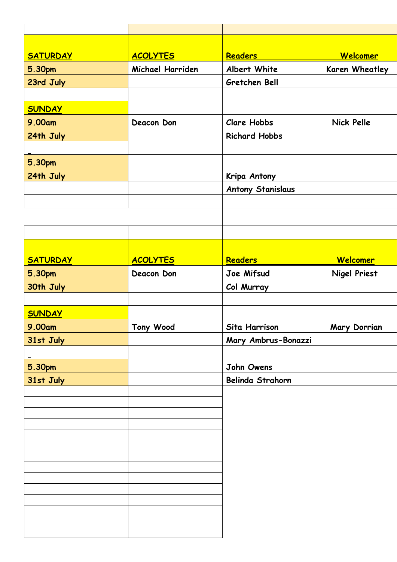| <b>SATURDAY</b> | <b>ACOLYTES</b>  | <b>Readers</b>           | <b>Welcomer</b>     |
|-----------------|------------------|--------------------------|---------------------|
| 5.30pm          | Michael Harriden | Albert White             | Karen Wheatley      |
| 23rd July       |                  | Gretchen Bell            |                     |
|                 |                  |                          |                     |
| <b>SUNDAY</b>   |                  |                          |                     |
| 9.00am          | Deacon Don       | <b>Clare Hobbs</b>       | <b>Nick Pelle</b>   |
| 24th July       |                  | <b>Richard Hobbs</b>     |                     |
|                 |                  |                          |                     |
| 5.30pm          |                  |                          |                     |
| 24th July       |                  | Kripa Antony             |                     |
|                 |                  | <b>Antony Stanislaus</b> |                     |
|                 |                  |                          |                     |
|                 |                  |                          |                     |
|                 |                  |                          |                     |
|                 |                  |                          |                     |
|                 |                  |                          |                     |
| <b>SATURDAY</b> | <b>ACOLYTES</b>  | Readers                  | <b>Welcomer</b>     |
| <b>5.30pm</b>   | Deacon Don       | Joe Mifsud               | <b>Nigel Priest</b> |
| 30th July       |                  | Col Murray               |                     |
|                 |                  |                          |                     |
| <b>SUNDAY</b>   |                  |                          |                     |
| 9.00am          | Tony Wood        | Sita Harrison            | Mary Dorrian        |
| 31st July       |                  | Mary Ambrus-Bonazzi      |                     |
|                 |                  |                          |                     |
| <b>5.30pm</b>   |                  | John Owens               |                     |
| 31st July       |                  | Belinda Strahorn         |                     |
|                 |                  |                          |                     |
|                 |                  |                          |                     |
|                 |                  |                          |                     |
|                 |                  |                          |                     |
|                 |                  |                          |                     |
|                 |                  |                          |                     |
|                 |                  |                          |                     |
|                 |                  |                          |                     |
|                 |                  |                          |                     |
|                 |                  |                          |                     |
|                 |                  |                          |                     |
|                 |                  |                          |                     |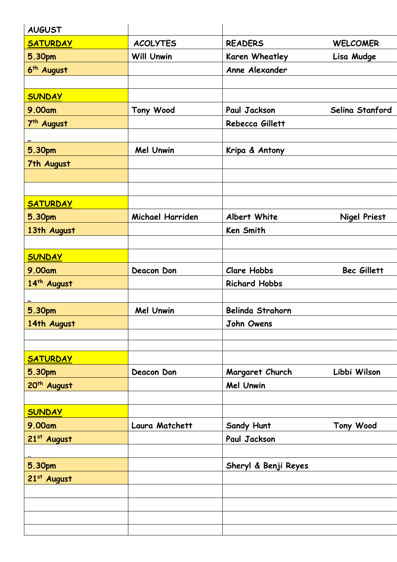| <b>AUGUST</b>           |                   |                      |                     |
|-------------------------|-------------------|----------------------|---------------------|
| <b>SATURDAY</b>         | <b>ACOLYTES</b>   | <b>READERS</b>       | <b>WELCOMER</b>     |
| 5.30pm                  | <b>Will Unwin</b> | Karen Wheatley       | Lisa Mudge          |
| 6 <sup>th</sup> August  |                   | Anne Alexander       |                     |
|                         |                   |                      |                     |
| <b>SUNDAY</b>           |                   |                      |                     |
| 9.00am                  | <b>Tony Wood</b>  | Paul Jackson         | Selina Stanford     |
| 7 <sup>th</sup> August  |                   | Rebecca Gillett      |                     |
|                         |                   |                      |                     |
| 5.30pm                  | <b>Mel Unwin</b>  | Kripa & Antony       |                     |
| 7th August              |                   |                      |                     |
|                         |                   |                      |                     |
|                         |                   |                      |                     |
| <b>SATURDAY</b>         |                   |                      |                     |
| 5.30pm                  | Michael Harriden  | Albert White         | <b>Nigel Priest</b> |
| 13th August             |                   | Ken Smith            |                     |
|                         |                   |                      |                     |
| <b>SUNDAY</b>           |                   |                      |                     |
| 9.00am                  | Deacon Don        | <b>Clare Hobbs</b>   | Bec Gillett         |
| 14th August             |                   | <b>Richard Hobbs</b> |                     |
|                         |                   |                      |                     |
| 5.30pm                  | Mel Unwin         | Belinda Strahorn     |                     |
| 14th August             |                   | John Owens           |                     |
|                         |                   |                      |                     |
|                         |                   |                      |                     |
| <b>SATURDAY</b>         |                   |                      |                     |
| 5.30pm                  | Deacon Don        | Margaret Church      | Libbi Wilson        |
| 20 <sup>th</sup> August |                   | Mel Unwin            |                     |
|                         |                   |                      |                     |
| <b>SUNDAY</b>           |                   |                      |                     |
| 9.00am                  | Laura Matchett    | Sandy Hunt           | Tony Wood           |
| 21st August             |                   | Paul Jackson         |                     |
|                         |                   |                      |                     |
| 5.30pm<br>21st August   |                   | Sheryl & Benji Reyes |                     |
|                         |                   |                      |                     |
|                         |                   |                      |                     |
|                         |                   |                      |                     |
|                         |                   |                      |                     |